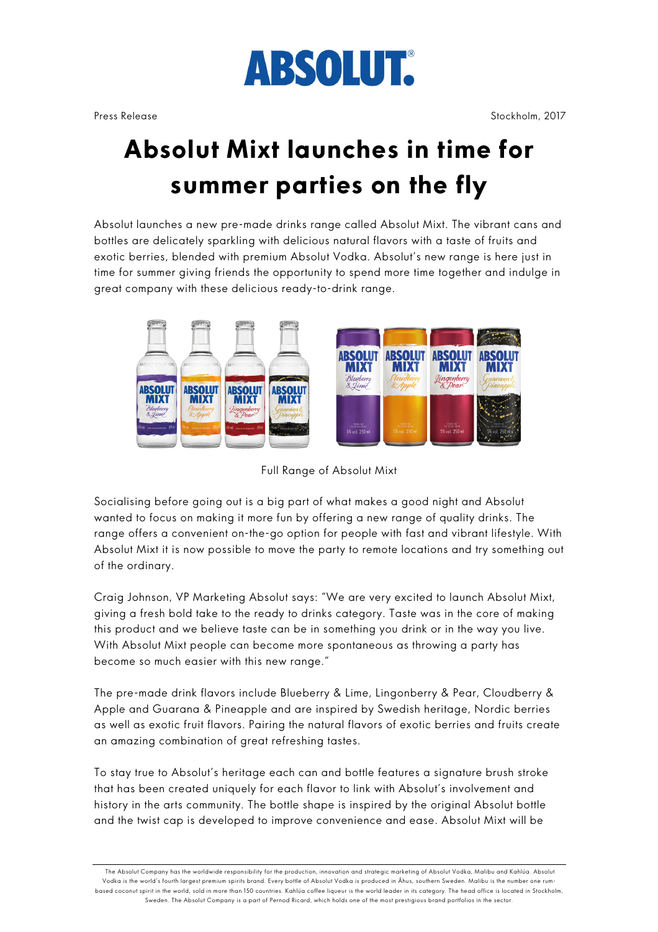

Press Release Stockholm, 2017

## **Absolut Mixt launches in time for summer parties on the fly**

Absolut launches a new pre-made drinks range called Absolut Mixt. The vibrant cans and bottles are delicately sparkling with delicious natural flavors with a taste of fruits and exotic berries, blended with premium Absolut Vodka. Absolut's new range is here just in time for summer giving friends the opportunity to spend more time together and indulge in great company with these delicious ready-to-drink range.



Full Range of Absolut Mixt

Socialising before going out is a big part of what makes a good night and Absolut wanted to focus on making it more fun by offering a new range of quality drinks. The range offers a convenient on-the-go option for people with fast and vibrant lifestyle. With Absolut Mixt it is now possible to move the party to remote locations and try something out of the ordinary.

Craig Johnson, VP Marketing Absolut says: "We are very excited to launch Absolut Mixt, giving a fresh bold take to the ready to drinks category. Taste was in the core of making this product and we believe taste can be in something you drink or in the way you live. With Absolut Mixt people can become more spontaneous as throwing a party has become so much easier with this new range."

The pre-made drink flavors include Blueberry & Lime, Lingonberry & Pear, Cloudberry & Apple and Guarana & Pineapple and are inspired by Swedish heritage, Nordic berries as well as exotic fruit flavors. Pairing the natural flavors of exotic berries and fruits create an amazing combination of great refreshing tastes.

To stay true to Absolut's heritage each can and bottle features a signature brush stroke that has been created uniquely for each flavor to link with Absolut's involvement and history in the arts community. The bottle shape is inspired by the original Absolut bottle and the twist cap is developed to improve convenience and ease. Absolut Mixt will be

The Absolut Company has the worldwide responsibility for the production, innovation and strategic marketing of Absolut Vodka, Malibu and Kahlúa. Absolut Vodka is the world's fourth largest premium spirits brand. Every bottle of Absolut Vodka is produced in Åhus, southern Sweden. Malibu is the number one rumbased coconut spirit in the world, sold in more than 150 countries. Kahlúa coffee liqueur is the world leader in its category. The head office is located in Stockholm, Sweden. The Absolut Company is a part of Pernod Ricard, which holds one of the most prestigious brand portfolios in the sector.